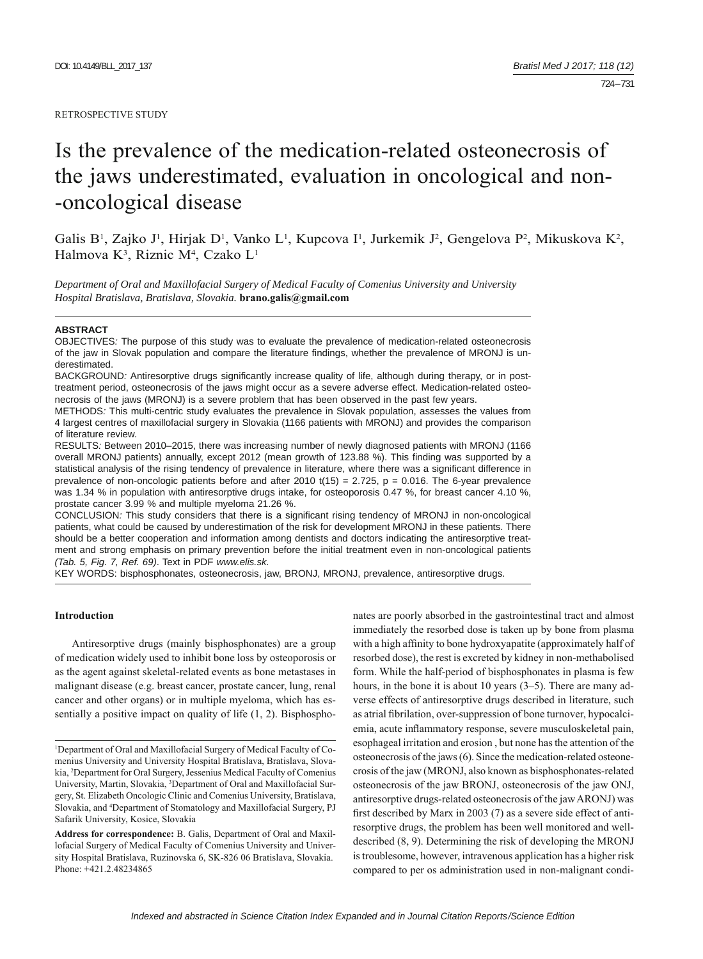#### RETROSPECTIVE STUDY

# Is the prevalence of the medication-related osteonecrosis of the jaws underestimated, evaluation in oncological and non- -oncological disease

Galis B<sup>1</sup>, Zajko J<sup>1</sup>, Hirjak D<sup>1</sup>, Vanko L<sup>1</sup>, Kupcova I<sup>1</sup>, Jurkemik J<sup>2</sup>, Gengelova P<sup>2</sup>, Mikuskova K<sup>2</sup>, Halmova K<sup>3</sup>, Riznic M<sup>4</sup>, Czako L<sup>1</sup>

*Department of Oral and Maxillofacial Surgery of Medical Faculty of Comenius University and University Hospital Bratislava, Bratislava, Slovakia.* **brano.galis@gmail.com**

#### **ABSTRACT**

OBJECTIVES*:* The purpose of this study was to evaluate the prevalence of medication-related osteonecrosis of the jaw in Slovak population and compare the literature findings, whether the prevalence of MRONJ is underestimated.

BACKGROUND: Antiresorptive drugs significantly increase quality of life, although during therapy, or in posttreatment period, osteonecrosis of the jaws might occur as a severe adverse effect. Medication-related osteonecrosis of the jaws (MRONJ) is a severe problem that has been observed in the past few years.

METHODS*:* This multi-centric study evaluates the prevalence in Slovak population, assesses the values from 4 largest centres of maxillofacial surgery in Slovakia (1166 patients with MRONJ) and provides the comparison of literature review.

RESULTS*:* Between 2010–2015, there was increasing number of newly diagnosed patients with MRONJ (1166 overall MRONJ patients) annually, except 2012 (mean growth of 123.88 %). This finding was supported by a statistical analysis of the rising tendency of prevalence in literature, where there was a significant difference in prevalence of non-oncologic patients before and after  $2010$  t(15) = 2.725, p = 0.016. The 6-year prevalence was 1.34 % in population with antiresorptive drugs intake, for osteoporosis 0.47 %, for breast cancer 4.10 %, prostate cancer 3.99 % and multiple myeloma 21.26 %.

CONCLUSION: This study considers that there is a significant rising tendency of MRONJ in non-oncological patients, what could be caused by underestimation of the risk for development MRONJ in these patients. There should be a better cooperation and information among dentists and doctors indicating the antiresorptive treatment and strong emphasis on primary prevention before the initial treatment even in non-oncological patients *(Tab. 5, Fig. 7, Ref. 69)*. Text in PDF *www.elis.sk.*

KEY WORDS: bisphosphonates, osteonecrosis, jaw, BRONJ, MRONJ, prevalence, antiresorptive drugs.

#### **Introduction**

Antiresorptive drugs (mainly bisphosphonates) are a group of medication widely used to inhibit bone loss by osteoporosis or as the agent against skeletal-related events as bone metastases in malignant disease (e.g. breast cancer, prostate cancer, lung, renal cancer and other organs) or in multiple myeloma, which has essentially a positive impact on quality of life (1, 2). Bisphosphonates are poorly absorbed in the gastrointestinal tract and almost immediately the resorbed dose is taken up by bone from plasma with a high affinity to bone hydroxyapatite (approximately half of resorbed dose), the rest is excreted by kidney in non-methabolised form. While the half-period of bisphosphonates in plasma is few hours, in the bone it is about 10 years (3–5). There are many adverse effects of antiresorptive drugs described in literature, such as atrial fibrilation, over-suppression of bone turnover, hypocalciemia, acute inflammatory response, severe musculoskeletal pain, esophageal irritation and erosion , but none has the attention of the osteonecrosis of the jaws (6). Since the medication-related osteonecrosis of the jaw (MRONJ, also known as bisphosphonates-related osteonecrosis of the jaw BRONJ, osteonecrosis of the jaw ONJ, antiresorptive drugs-related osteonecrosis of the jaw ARONJ) was first described by Marx in 2003 (7) as a severe side effect of antiresorptive drugs, the problem has been well monitored and welldescribed (8, 9). Determining the risk of developing the MRONJ is troublesome, however, intravenous application has a higher risk compared to per os administration used in non-malignant condi-

<sup>&</sup>lt;sup>1</sup>Department of Oral and Maxillofacial Surgery of Medical Faculty of Comenius University and University Hospital Bratislava, Bratislava, Slovakia, 2 Department for Oral Surgery, Jessenius Medical Faculty of Comenius University, Martin, Slovakia, <sup>3</sup>Department of Oral and Maxillofacial Surgery, St. Elizabeth Oncologic Clinic and Comenius University, Bratislava, Slovakia, and 4 Department of Stomatology and Maxillofacial Surgery, PJ Safarik University, Kosice, Slovakia

**Address for correspondence:** B. Galis, Department of Oral and Maxillofacial Surgery of Medical Faculty of Comenius University and University Hospital Bratislava, Ruzinovska 6, SK-826 06 Bratislava, Slovakia. Phone: +421.2.48234865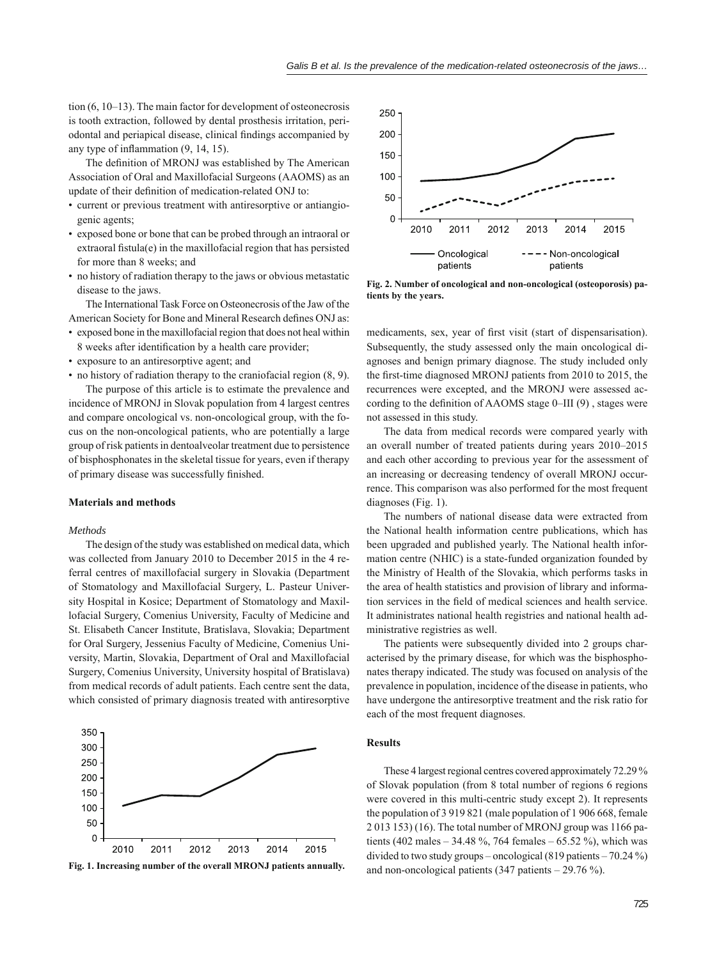tion (6, 10–13). The main factor for development of osteonecrosis is tooth extraction, followed by dental prosthesis irritation, periodontal and periapical disease, clinical findings accompanied by any type of inflammation  $(9, 14, 15)$ .

The definition of MRONJ was established by The American Association of Oral and Maxillofacial Surgeons (AAOMS) as an update of their definition of medication-related ONJ to:

- current or previous treatment with antiresorptive or antiangiogenic agents;
- exposed bone or bone that can be probed through an intraoral or  $extrational}_i$  fistula $(e)$  in the maxillofacial region that has persisted for more than 8 weeks; and
- no history of radiation therapy to the jaws or obvious metastatic disease to the jaws.

The International Task Force on Osteonecrosis of the Jaw of the American Society for Bone and Mineral Research defines ONJ as:

- exposed bone in the maxillofacial region that does not heal within 8 weeks after identification by a health care provider;
- exposure to an antiresorptive agent; and
- no history of radiation therapy to the craniofacial region (8, 9).

The purpose of this article is to estimate the prevalence and incidence of MRONJ in Slovak population from 4 largest centres and compare oncological vs. non-oncological group, with the focus on the non-oncological patients, who are potentially a large group of risk patients in dentoalveolar treatment due to persistence of bisphosphonates in the skeletal tissue for years, even if therapy of primary disease was successfully finished.

## **Materials and methods**

#### *Methods*

The design of the study was established on medical data, which was collected from January 2010 to December 2015 in the 4 referral centres of maxillofacial surgery in Slovakia (Department of Stomatology and Maxillofacial Surgery, L. Pasteur University Hospital in Kosice; Department of Stomatology and Maxillofacial Surgery, Comenius University, Faculty of Medicine and St. Elisabeth Cancer Institute, Bratislava, Slovakia; Department for Oral Surgery, Jessenius Faculty of Medicine, Comenius University, Martin, Slovakia, Department of Oral and Maxillofacial Surgery, Comenius University, University hospital of Bratislava) from medical records of adult patients. Each centre sent the data, which consisted of primary diagnosis treated with antiresorptive







**Fig. 2. Number of oncological and non-oncological (osteoporosis) patients by the years.**

medicaments, sex, year of first visit (start of dispensarisation). Subsequently, the study assessed only the main oncological diagnoses and benign primary diagnose. The study included only the first-time diagnosed MRONJ patients from 2010 to 2015, the recurrences were excepted, and the MRONJ were assessed according to the definition of AAOMS stage  $0$ –III $(9)$ , stages were not assessed in this study.

The data from medical records were compared yearly with an overall number of treated patients during years 2010–2015 and each other according to previous year for the assessment of an increasing or decreasing tendency of overall MRONJ occurrence. This comparison was also performed for the most frequent diagnoses (Fig. 1).

The numbers of national disease data were extracted from the National health information centre publications, which has been upgraded and published yearly. The National health information centre (NHIC) is a state-funded organization founded by the Ministry of Health of the Slovakia, which performs tasks in the area of health statistics and provision of library and information services in the field of medical sciences and health service. It administrates national health registries and national health administrative registries as well.

The patients were subsequently divided into 2 groups characterised by the primary disease, for which was the bisphosphonates therapy indicated. The study was focused on analysis of the prevalence in population, incidence of the disease in patients, who have undergone the antiresorptive treatment and the risk ratio for each of the most frequent diagnoses.

# **Results**

These 4 largest regional centres covered approximately 72.29 % of Slovak population (from 8 total number of regions 6 regions were covered in this multi-centric study except 2). It represents the population of 3 919 821 (male population of 1 906 668, female 2 013 153) (16). The total number of MRONJ group was 1166 patients (402 males – 34.48 %, 764 females – 65.52 %), which was divided to two study groups – oncological (819 patients – 70.24 %) Fig. 1. Increasing number of the overall MRONJ patients annually. and non-oncological patients (347 patients – 29.76 %).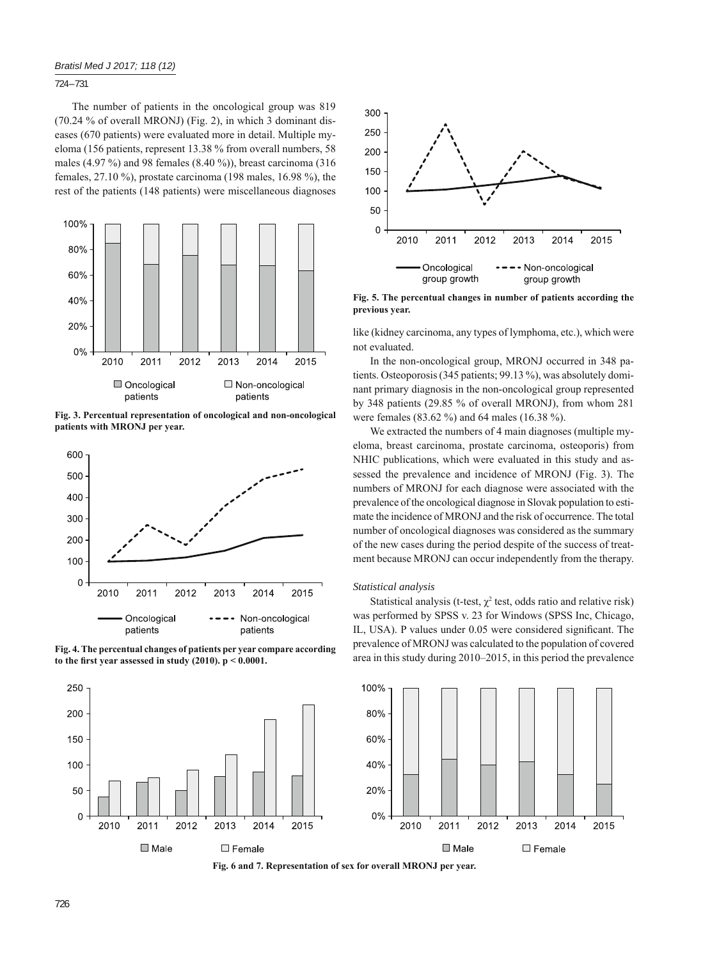## 724 – 731

The number of patients in the oncological group was 819 (70.24 % of overall MRONJ) (Fig. 2), in which 3 dominant diseases (670 patients) were evaluated more in detail. Multiple myeloma (156 patients, represent 13.38 % from overall numbers, 58 males (4.97 %) and 98 females (8.40 %)), breast carcinoma (316 females, 27.10 %), prostate carcinoma (198 males, 16.98 %), the rest of the patients (148 patients) were miscellaneous diagnoses



**Fig. 3. Percentual representation of oncological and non-oncological patients with MRONJ per year.**



**Fig. 4. The percentual changes of patients per year compare according**  to the first year assessed in study  $(2010)$ .  $p < 0.0001$ .





**Fig. 5. The percentual changes in number of patients according the previous year.**

like (kidney carcinoma, any types of lymphoma, etc.), which were not evaluated.

In the non-oncological group, MRONJ occurred in 348 patients. Osteoporosis (345 patients; 99.13 %), was absolutely dominant primary diagnosis in the non-oncological group represented by 348 patients (29.85 % of overall MRONJ), from whom 281 were females (83.62 %) and 64 males (16.38 %).

We extracted the numbers of 4 main diagnoses (multiple myeloma, breast carcinoma, prostate carcinoma, osteoporis) from NHIC publications, which were evaluated in this study and assessed the prevalence and incidence of MRONJ (Fig. 3). The numbers of MRONJ for each diagnose were associated with the prevalence of the oncological diagnose in Slovak population to estimate the incidence of MRONJ and the risk of occurrence. The total number of oncological diagnoses was considered as the summary of the new cases during the period despite of the success of treatment because MRONJ can occur independently from the therapy.

#### *Statistical analysis*

Statistical analysis (t-test,  $\chi^2$  test, odds ratio and relative risk) was performed by SPSS v. 23 for Windows (SPSS Inc, Chicago, IL, USA). P values under 0.05 were considered significant. The prevalence of MRONJ was calculated to the population of covered area in this study during 2010–2015, in this period the prevalence



**Fig. 6 and 7. Representation of sex for overall MRONJ per year.**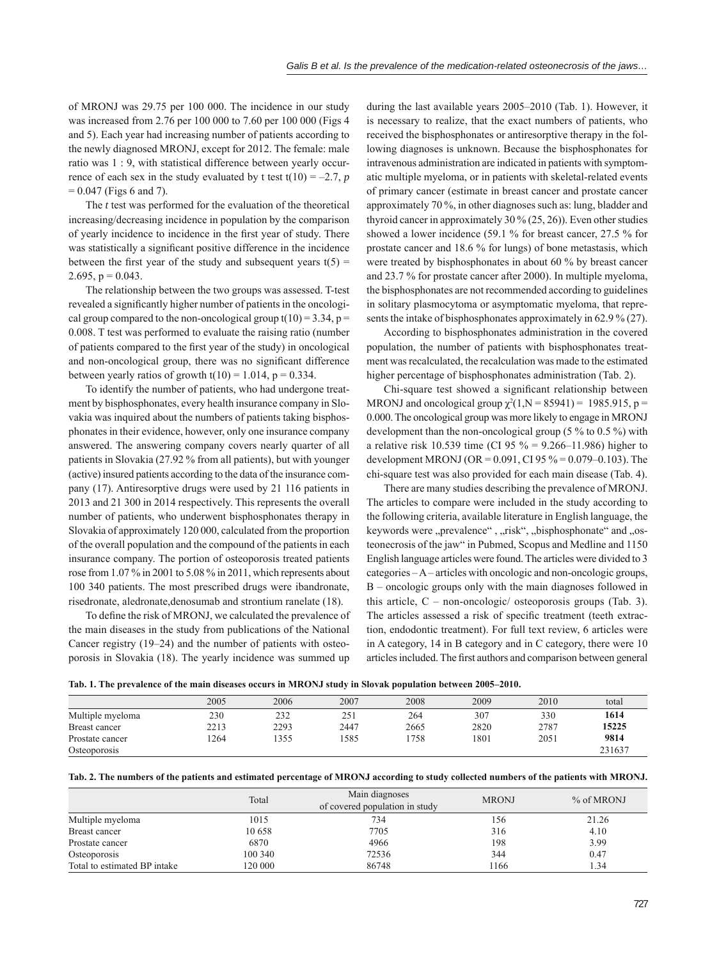of MRONJ was 29.75 per 100 000. The incidence in our study was increased from 2.76 per 100 000 to 7.60 per 100 000 (Figs 4 and 5). Each year had increasing number of patients according to the newly diagnosed MRONJ, except for 2012. The female: male ratio was 1 : 9, with statistical difference between yearly occurrence of each sex in the study evaluated by t test  $t(10) = -2.7$ , *p*  $= 0.047$  (Figs 6 and 7).

The *t* test was performed for the evaluation of the theoretical increasing/decreasing incidence in population by the comparison of yearly incidence to incidence in the first year of study. There was statistically a significant positive difference in the incidence between the first year of the study and subsequent years  $t(5)$  = 2.695,  $p = 0.043$ .

The relationship between the two groups was assessed. T-test revealed a significantly higher number of patients in the oncological group compared to the non-oncological group  $t(10) = 3.34$ , p = 0.008. T test was performed to evaluate the raising ratio (number of patients compared to the first year of the study) in oncological and non-oncological group, there was no significant difference between yearly ratios of growth  $t(10) = 1.014$ ,  $p = 0.334$ .

To identify the number of patients, who had undergone treatment by bisphosphonates, every health insurance company in Slovakia was inquired about the numbers of patients taking bisphosphonates in their evidence, however, only one insurance company answered. The answering company covers nearly quarter of all patients in Slovakia (27.92 % from all patients), but with younger (active) insured patients according to the data of the insurance company (17). Antiresorptive drugs were used by 21 116 patients in 2013 and 21 300 in 2014 respectively. This represents the overall number of patients, who underwent bisphosphonates therapy in Slovakia of approximately 120 000, calculated from the proportion of the overall population and the compound of the patients in each insurance company. The portion of osteoporosis treated patients rose from 1.07 % in 2001 to 5.08 % in 2011, which represents about 100 340 patients. The most prescribed drugs were ibandronate, risedronate, aledronate,denosumab and strontium ranelate (18).

To define the risk of MRONJ, we calculated the prevalence of the main diseases in the study from publications of the National Cancer registry (19–24) and the number of patients with osteoporosis in Slovakia (18). The yearly incidence was summed up

during the last available years 2005–2010 (Tab. 1). However, it is necessary to realize, that the exact numbers of patients, who received the bisphosphonates or antiresorptive therapy in the following diagnoses is unknown. Because the bisphosphonates for intravenous administration are indicated in patients with symptomatic multiple myeloma, or in patients with skeletal-related events of primary cancer (estimate in breast cancer and prostate cancer approximately 70 %, in other diagnoses such as: lung, bladder and thyroid cancer in approximately 30 % (25, 26)). Even other studies showed a lower incidence (59.1 % for breast cancer, 27.5 % for prostate cancer and 18.6 % for lungs) of bone metastasis, which were treated by bisphosphonates in about 60 % by breast cancer and 23.7 % for prostate cancer after 2000). In multiple myeloma, the bisphosphonates are not recommended according to guidelines in solitary plasmocytoma or asymptomatic myeloma, that represents the intake of bisphosphonates approximately in 62.9 % (27).

According to bisphosphonates administration in the covered population, the number of patients with bisphosphonates treatment was recalculated, the recalculation was made to the estimated higher percentage of bisphosphonates administration (Tab. 2).

Chi-square test showed a significant relationship between MRONJ and oncological group  $\chi^2(1, N = 85941) = 1985.915$ , p = 0.000. The oncological group was more likely to engage in MRONJ development than the non-oncological group (5 % to 0.5 %) with a relative risk 10.539 time (CI 95 % = 9.266–11.986) higher to development MRONJ (OR =  $0.091$ , CI 95 % =  $0.079-0.103$ ). The chi-square test was also provided for each main disease (Tab. 4).

There are many studies describing the prevalence of MRONJ. The articles to compare were included in the study according to the following criteria, available literature in English language, the keywords were "prevalence", "risk", "bisphosphonate" and "osteonecrosis of the jaw" in Pubmed, Scopus and Medline and 1150 English language articles were found. The articles were divided to 3 categories – A – articles with oncologic and non-oncologic groups, B – oncologic groups only with the main diagnoses followed in this article,  $C$  – non-oncologic/ osteoporosis groups (Tab. 3). The articles assessed a risk of specific treatment (teeth extraction, endodontic treatment). For full text review, 6 articles were in A category, 14 in B category and in C category, there were 10 articles included. The first authors and comparison between general

|  |  | .1. The prevalence of the main diseases occurs in MRONJ study in Slovak population between 2005–2010 |  |  |  |  |  |  |  |  |  |
|--|--|------------------------------------------------------------------------------------------------------|--|--|--|--|--|--|--|--|--|
|--|--|------------------------------------------------------------------------------------------------------|--|--|--|--|--|--|--|--|--|

|                  | 2005 | 2006 | 2007 | 2008 | 2009 | 2010 | total  |
|------------------|------|------|------|------|------|------|--------|
| Multiple myeloma | 230  | 232  | 251  | 264  | 307  | 330  | 1614   |
| Breast cancer    | 2213 | 2293 | 2447 | 2665 | 2820 | 2787 | 15225  |
| Prostate cancer  | 1264 | 355  | 1585 | 758  | 1801 | 2051 | 9814   |
| Osteoporosis     |      |      |      |      |      |      | 231637 |

|  | Tab. 2. The numbers of the patients and estimated percentage of MRONJ according to study collected numbers of the patients with MRONJ. |  |  |  |  |  |
|--|----------------------------------------------------------------------------------------------------------------------------------------|--|--|--|--|--|
|  |                                                                                                                                        |  |  |  |  |  |

|                              | Total   | Main diagnoses<br>of covered population in study | <b>MRONJ</b> | % of MRONJ |
|------------------------------|---------|--------------------------------------------------|--------------|------------|
| Multiple myeloma             | 1015    | 734                                              | 156          | 21.26      |
| Breast cancer                | 10658   | 7705                                             | 316          | 4.10       |
| Prostate cancer              | 6870    | 4966                                             | 198          | 3.99       |
| Osteoporosis                 | 100 340 | 72536                                            | 344          | 0.47       |
| Total to estimated BP intake | 120 000 | 86748                                            | 1166         | 1.34       |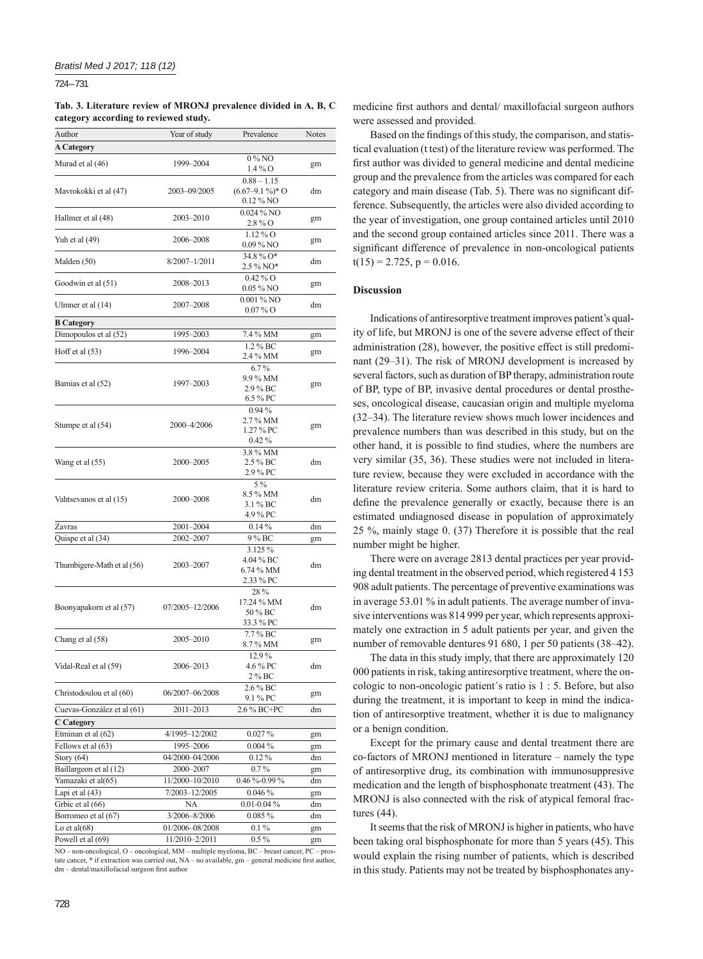724 – 731

#### **Tab. 3. Literature review of MRONJ prevalence divided in A, B, C category according to reviewed study.**

| Author                                       | Year of study                | Prevalence                                         | Notes    |
|----------------------------------------------|------------------------------|----------------------------------------------------|----------|
| <b>A Category</b>                            |                              |                                                    |          |
| Murad et al (46)                             | 1999-2004                    | 0%NO<br>$1.4\%$ O                                  | gm       |
| Mavrokokki et al (47)                        | 2003-09/2005                 | $0.88 - 1.15$<br>$(6.67 - 9.1\%)$ * O<br>0.12 % NO | dm       |
| Hallmer et al (48)                           | 2003-2010                    | 0.024 % NO<br>2.8 % O                              | gm       |
| Yuh et al (49)                               | 2006-2008                    | $1.12\%$ O<br>$0.09\%$ NO                          | gm       |
| Malden (50)                                  | 8/2007-1/2011                | 34.8% O*<br>2.5 % NO*                              | dm       |
| Goodwin et al (51)                           | 2008-2013                    | $0.42\%$ O<br>$0.05\,\%$ NO                        | gm       |
| Ulmner et al (14)                            | 2007-2008                    | $0.001\%$ NO<br>$0.07\%$ O                         | dm       |
| <b>B</b> Category                            |                              |                                                    |          |
| Dimopoulos et al (52)                        | 1995-2003                    | 7.4 % MM                                           | gm       |
| Hoff et al $(53)$                            | 1996-2004                    | 1.2 % BC<br>2.4 % MM                               | gm       |
| Bamias et al (52)                            | 1997-2003                    | $6.7\%$<br>9.9 % MM<br>2.9 % BC<br>6.5 % PC        | gm       |
| Stumpe et al (54)                            | 2000-4/2006                  | $0.94\%$<br>2.7 % MM<br>1.27 % PC<br>$0.42\%$      | gm       |
| Wang et al (55)                              | 2000-2005                    | 3.8 % MM<br>2.5 % BC<br>2.9 % PC                   | dm       |
| Vahtsevanos et al (15)                       | 2000-2008                    | $5\%$<br>8.5 % MM<br>3.1 % BC<br>4.9 % PC          | dm       |
| Zavras                                       | 2001-2004                    | $0.14\%$                                           | dm       |
| Quispe et al (34)                            | 2002-2007                    | 9 % BC                                             | gm       |
| Thumbigere-Math et al (56)                   | 2003-2007                    | 3.125 %<br>4.04 % BC<br>6.74 % MM<br>2.33 % PC     | dm       |
| Boonyapakorn et al (57)                      | 07/2005-12/2006              | 28%<br>17.24 % MM<br>50 % BC<br>33.3 % PC          | dm       |
| Chang et al (58)                             | 2005-2010                    | 7.7 % BC<br>8.7 % MM                               | gm       |
| Vidal-Real et al (59)                        | 2006-2013                    | 12.9%<br>4.6 % PC<br>2 % BC                        | dm       |
| Christodoulou et al (60)                     | 06/2007-06/2008              | 2.6 % BC<br>9.1 % PC                               | gm       |
| Cuevas-González et al (61)                   | 2011-2013                    | 2.6 % BC+PC                                        | dm       |
| <b>C</b> Category                            |                              |                                                    |          |
| Etminan et al (62)                           | 4/1995-12/2002               | $0.027\,\%$                                        | gm       |
| Fellows et al (63)                           | 1995-2006                    | $0.004\%$                                          | gm       |
| Story $(64)$                                 | 04/2000-04/2006              | $0.12\%$                                           | dm       |
| Baillargeon et al (12)<br>Yamazaki et al(65) | 2000-2007<br>11/2000-10/2010 | $0.7\%$<br>$0.46\% - 0.99\%$                       | gm<br>dm |
| Lapi et al (43)                              | 7/2003-12/2005               | 0.046%                                             | gm       |
| Grbic et al (66)                             | NA                           | $0.01 - 0.04 \%$                                   | dm       |
| Borromeo et al (67)                          | 3/2006-8/2006                | $0.085\%$                                          | dm       |
| Lo et al $(68)$                              | 01/2006-08/2008              | $0.1\%$                                            | gm       |
| Powell et al (69)                            | 11/2010-2/2011               | $0.5\%$                                            | gm       |

NO – non-oncological, O – oncological, MM – multiple myeloma, BC – breast cancer, PC – prostate cancer, \* if extraction was carried out, NA – no available, gm – general medicine first author, dm – dental/maxillofacial surgeon first author

medicine first authors and dental/ maxillofacial surgeon authors were assessed and provided.

Based on the findings of this study, the comparison, and statistical evaluation (t test) of the literature review was performed. The first author was divided to general medicine and dental medicine group and the prevalence from the articles was compared for each category and main disease (Tab. 5). There was no significant difference. Subsequently, the articles were also divided according to the year of investigation, one group contained articles until 2010 and the second group contained articles since 2011. There was a significant difference of prevalence in non-oncological patients  $t(15) = 2.725$ ,  $p = 0.016$ .

## **Discussion**

Indications of antiresorptive treatment improves patient's quality of life, but MRONJ is one of the severe adverse effect of their administration (28), however, the positive effect is still predominant (29–31). The risk of MRONJ development is increased by several factors, such as duration of BP therapy, administration route of BP, type of BP, invasive dental procedures or dental prostheses, oncological disease, caucasian origin and multiple myeloma (32–34). The literature review shows much lower incidences and prevalence numbers than was described in this study, but on the other hand, it is possible to find studies, where the numbers are very similar (35, 36). These studies were not included in literature review, because they were excluded in accordance with the literature review criteria. Some authors claim, that it is hard to define the prevalence generally or exactly, because there is an estimated undiagnosed disease in population of approximately 25 %, mainly stage 0. (37) Therefore it is possible that the real number might be higher.

There were on average 2813 dental practices per year providing dental treatment in the observed period, which registered 4 153 908 adult patients. The percentage of preventive examinations was in average 53.01 % in adult patients. The average number of invasive interventions was 814 999 per year, which represents approximately one extraction in 5 adult patients per year, and given the number of removable dentures 91 680, 1 per 50 patients (38–42).

The data in this study imply, that there are approximately 120 000 patients in risk, taking antiresorptive treatment, where the oncologic to non-oncologic patient´s ratio is 1 : 5. Before, but also during the treatment, it is important to keep in mind the indication of antiresorptive treatment, whether it is due to malignancy or a benign condition.

Except for the primary cause and dental treatment there are co-factors of MRONJ mentioned in literature – namely the type of antiresorptive drug, its combination with immunosuppresive medication and the length of bisphosphonate treatment (43). The MRONJ is also connected with the risk of atypical femoral fractures (44).

It seems that the risk of MRONJ is higher in patients, who have been taking oral bisphosphonate for more than 5 years (45). This would explain the rising number of patients, which is described in this study. Patients may not be treated by bisphosphonates any-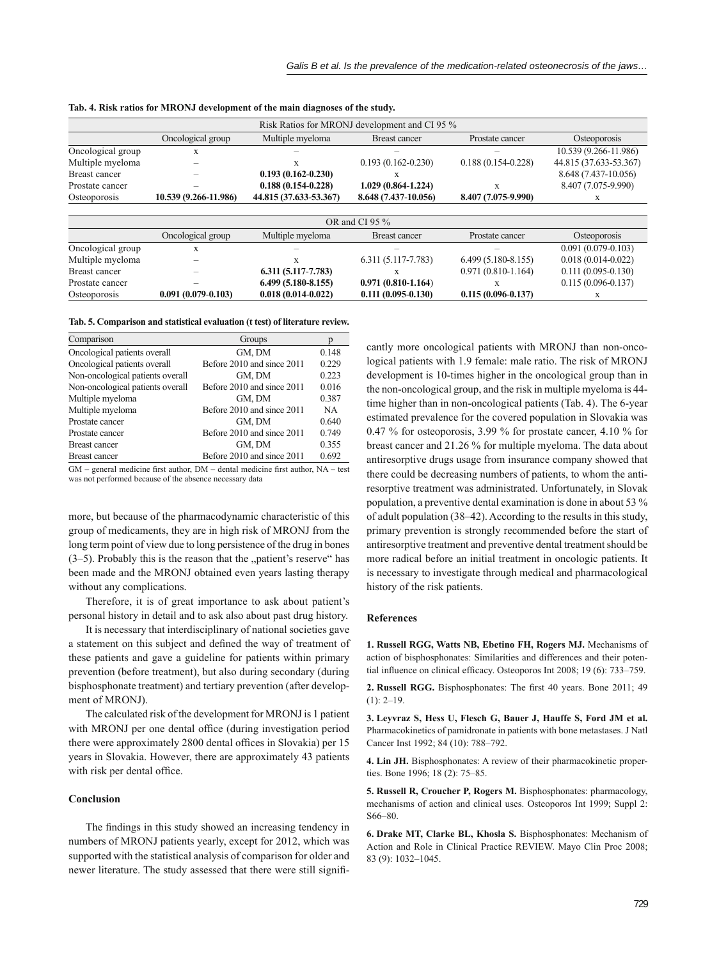|                      |                        |                        | Risk Ratios for MRONJ development and CI 95 % |                        |                        |  |
|----------------------|------------------------|------------------------|-----------------------------------------------|------------------------|------------------------|--|
|                      | Oncological group      | Multiple myeloma       | <b>Breast cancer</b>                          | Prostate cancer        | Osteoporosis           |  |
| Oncological group    | X                      |                        |                                               |                        | 10.539 (9.266-11.986)  |  |
| Multiple myeloma     |                        | X                      | $0.193(0.162 - 0.230)$                        | $0.188(0.154 - 0.228)$ | 44.815 (37.633-53.367) |  |
| <b>Breast cancer</b> |                        | $0.193(0.162 - 0.230)$ | X                                             |                        | 8.648 (7.437-10.056)   |  |
| Prostate cancer      |                        | $0.188(0.154 - 0.228)$ | 1.029 (0.864-1.224)                           | X                      | 8.407 (7.075-9.990)    |  |
| Osteoporosis         | 10.539 (9.266-11.986)  | 44.815 (37.633-53.367) | 8.648 (7.437-10.056)                          | 8.407 (7.075-9.990)    | X                      |  |
|                      |                        |                        |                                               |                        |                        |  |
|                      |                        |                        | OR and CI 95 %                                |                        |                        |  |
|                      | Oncological group      | Multiple myeloma       | Breast cancer                                 | Prostate cancer        | Osteoporosis           |  |
| Oncological group    | X                      |                        |                                               |                        | $0.091(0.079-0.103)$   |  |
| Multiple myeloma     |                        | X                      | $6.311(5.117 - 7.783)$                        | $6.499(5.180 - 8.155)$ | $0.018(0.014-0.022)$   |  |
| <b>Breast cancer</b> |                        | $6.311(5.117 - 7.783)$ | X                                             | $0.971(0.810-1.164)$   | $0.111(0.095 - 0.130)$ |  |
| Prostate cancer      |                        | $6.499(5.180-8.155)$   | $0.971(0.810-1.164)$                          | X                      | $0.115(0.096 - 0.137)$ |  |
| Osteoporosis         | $0.091(0.079 - 0.103)$ | $0.018(0.014 - 0.022)$ | $0.111(0.095-0.130)$                          | $0.115(0.096 - 0.137)$ | X                      |  |

**Tab. 4. Risk ratios for MRONJ development of the main diagnoses of the study.**

**Tab. 5. Comparison and statistical evaluation (t test) of literature review.**

| Comparison                       | Groups                     |       |
|----------------------------------|----------------------------|-------|
| Oncological patients overall     | GM, DM                     | 0.148 |
| Oncological patients overall     | Before 2010 and since 2011 | 0.229 |
| Non-oncological patients overall | GM, DM                     | 0.223 |
| Non-oncological patients overall | Before 2010 and since 2011 | 0.016 |
| Multiple myeloma                 | GM, DM                     | 0.387 |
| Multiple myeloma                 | Before 2010 and since 2011 | NA.   |
| Prostate cancer                  | GM, DM                     | 0.640 |
| Prostate cancer                  | Before 2010 and since 2011 | 0.749 |
| Breast cancer                    | GM, DM                     | 0.355 |
| Breast cancer                    | Before 2010 and since 2011 | 0.692 |

 $GM$  – general medicine first author,  $DM$  – dental medicine first author,  $NA$  – test was not performed because of the absence necessary data

more, but because of the pharmacodynamic characteristic of this group of medicaments, they are in high risk of MRONJ from the long term point of view due to long persistence of the drug in bones  $(3-5)$ . Probably this is the reason that the "patient's reserve" has been made and the MRONJ obtained even years lasting therapy without any complications.

Therefore, it is of great importance to ask about patient's personal history in detail and to ask also about past drug history.

It is necessary that interdisciplinary of national societies gave a statement on this subject and defined the way of treatment of these patients and gave a guideline for patients within primary prevention (before treatment), but also during secondary (during bisphosphonate treatment) and tertiary prevention (after development of MRONJ).

The calculated risk of the development for MRONJ is 1 patient with MRONJ per one dental office (during investigation period there were approximately 2800 dental offices in Slovakia) per 15 years in Slovakia. However, there are approximately 43 patients with risk per dental office.

# **Conclusion**

The findings in this study showed an increasing tendency in numbers of MRONJ patients yearly, except for 2012, which was supported with the statistical analysis of comparison for older and newer literature. The study assessed that there were still significantly more oncological patients with MRONJ than non-oncological patients with 1.9 female: male ratio. The risk of MRONJ development is 10-times higher in the oncological group than in the non-oncological group, and the risk in multiple myeloma is 44 time higher than in non-oncological patients (Tab. 4). The 6-year estimated prevalence for the covered population in Slovakia was 0.47 % for osteoporosis, 3.99 % for prostate cancer, 4.10 % for breast cancer and 21.26 % for multiple myeloma. The data about antiresorptive drugs usage from insurance company showed that there could be decreasing numbers of patients, to whom the antiresorptive treatment was administrated. Unfortunately, in Slovak population, a preventive dental examination is done in about 53 % of adult population (38–42). According to the results in this study, primary prevention is strongly recommended before the start of antiresorptive treatment and preventive dental treatment should be more radical before an initial treatment in oncologic patients. It is necessary to investigate through medical and pharmacological history of the risk patients.

# **References**

**1. Russell RGG, Watts NB, Ebetino FH, Rogers MJ.** Mechanisms of action of bisphosphonates: Similarities and differences and their potential influence on clinical efficacy. Osteoporos Int 2008; 19 (6): 733-759.

2. Russell RGG. Bisphosphonates: The first 40 years. Bone 2011; 49  $(1)$ : 2–19.

**3. Leyvraz S, Hess U, Flesch G, Bauer J, Hauffe S, Ford JM et al.** Pharmacokinetics of pamidronate in patients with bone metastases. J Natl Cancer Inst 1992; 84 (10): 788–792.

**4. Lin JH.** Bisphosphonates: A review of their pharmacokinetic properties. Bone 1996; 18 (2): 75–85.

**5. Russell R, Croucher P, Rogers M.** Bisphosphonates: pharmacology, mechanisms of action and clinical uses. Osteoporos Int 1999; Suppl 2: S66–80.

**6. Drake MT, Clarke BL, Khosla S.** Bisphosphonates: Mechanism of Action and Role in Clinical Practice REVIEW. Mayo Clin Proc 2008; 83 (9): 1032–1045.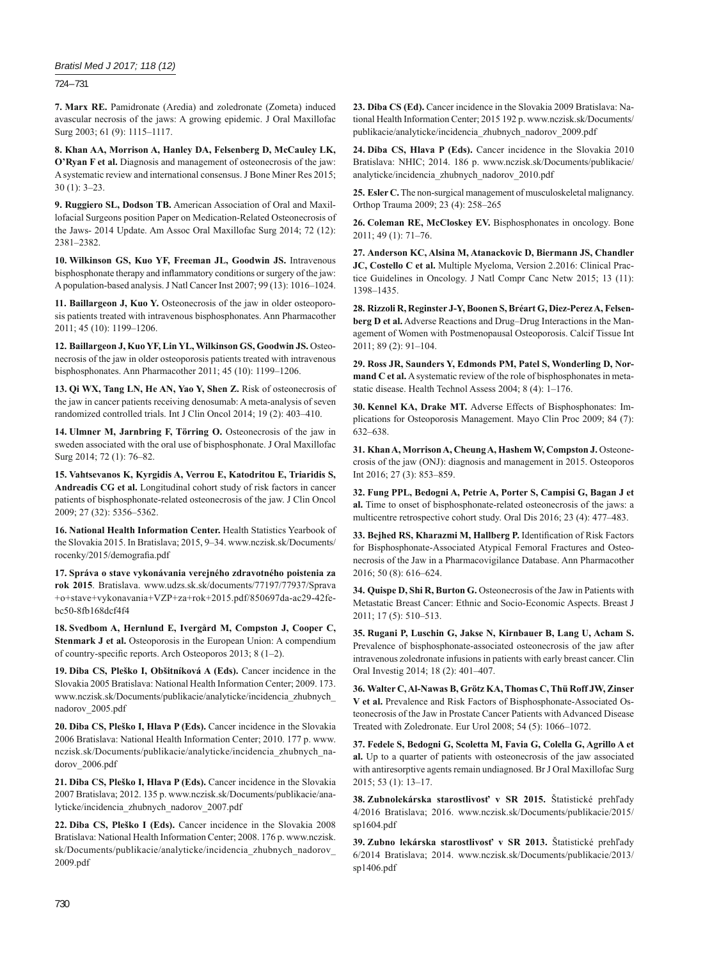## *Bratisl Med J 2017; 118 (12)*

724 – 731

**7. Marx RE.** Pamidronate (Aredia) and zoledronate (Zometa) induced avascular necrosis of the jaws: A growing epidemic. J Oral Maxillofac Surg 2003; 61 (9): 1115–1117.

**8. Khan AA, Morrison A, Hanley DA, Felsenberg D, McCauley LK, O'Ryan F et al.** Diagnosis and management of osteonecrosis of the jaw: A systematic review and international consensus. J Bone Miner Res 2015; 30 (1): 3–23.

**9. Ruggiero SL, Dodson TB.** American Association of Oral and Maxillofacial Surgeons position Paper on Medication-Related Osteonecrosis of the Jaws- 2014 Update. Am Assoc Oral Maxillofac Surg 2014; 72 (12): 2381–2382.

**10. Wilkinson GS, Kuo YF, Freeman JL, Goodwin JS.** Intravenous bisphosphonate therapy and inflammatory conditions or surgery of the jaw: A population-based analysis. J Natl Cancer Inst 2007; 99 (13): 1016–1024.

**11. Baillargeon J, Kuo Y.** Osteonecrosis of the jaw in older osteoporosis patients treated with intravenous bisphosphonates. Ann Pharmacother 2011; 45 (10): 1199–1206.

**12. Baillargeon J, Kuo YF, Lin YL, Wilkinson GS, Goodwin JS.** Osteonecrosis of the jaw in older osteoporosis patients treated with intravenous bisphosphonates. Ann Pharmacother 2011; 45 (10): 1199–1206.

**13. Qi WX, Tang LN, He AN, Yao Y, Shen Z.** Risk of osteonecrosis of the jaw in cancer patients receiving denosumab: A meta-analysis of seven randomized controlled trials. Int J Clin Oncol 2014; 19 (2): 403–410.

**14. Ulmner M, Jarnbring F, Törring O.** Osteonecrosis of the jaw in sweden associated with the oral use of bisphosphonate. J Oral Maxillofac Surg 2014; 72 (1): 76–82.

**15. Vahtsevanos K, Kyrgidis A, Verrou E, Katodritou E, Triaridis S, Andreadis CG et al.** Longitudinal cohort study of risk factors in cancer patients of bisphosphonate-related osteonecrosis of the jaw. J Clin Oncol 2009; 27 (32): 5356–5362.

**16. National Health Information Center.** Health Statistics Yearbook of the Slovakia 2015. In Bratislava; 2015, 9–34. www.nczisk.sk/Documents/ rocenky/2015/demografia.pdf

**17. Správa o stave vykonávania verejného zdravotného poistenia za rok 2015**. Bratislava. www.udzs.sk.sk/documents/77197/77937/Sprava +o+stave+vykonavania+VZP+za+rok+2015.pdf/850697da-ac29-42febc50-8fb168dcf4f4

**18. Svedbom A, Hernlund E, Ivergård M, Compston J, Cooper C, Stenmark J et al.** Osteoporosis in the European Union: A compendium of country-specific reports. Arch Osteoporos 2013; 8 (1-2).

**19. Diba CS, Pleško I, Obšitníková A (Eds).** Cancer incidence in the Slovakia 2005 Bratislava: National Health Information Center; 2009. 173. www.nczisk.sk/Documents/publikacie/analyticke/incidencia\_zhubnych\_ nadorov\_2005.pdf

**20. Diba CS, Pleško I, Hlava P (Eds).** Cancer incidence in the Slovakia 2006 Bratislava: National Health Information Center; 2010. 177 p. www. nczisk.sk/Documents/publikacie/analyticke/incidencia\_zhubnych\_nadorov\_2006.pdf

**21. Diba CS, Pleško I, Hlava P (Eds).** Cancer incidence in the Slovakia 2007 Bratislava; 2012. 135 p. www.nczisk.sk/Documents/publikacie/analyticke/incidencia\_zhubnych\_nadorov\_2007.pdf

**22. Diba CS, Pleško I (Eds).** Cancer incidence in the Slovakia 2008 Bratislava: National Health Information Center; 2008. 176 p. www.nczisk. sk/Documents/publikacie/analyticke/incidencia\_zhubnych\_nadorov\_ 2009.pdf

**23. Diba CS (Ed).** Cancer incidence in the Slovakia 2009 Bratislava: National Health Information Center; 2015 192 p. www.nczisk.sk/Documents/ publikacie/analyticke/incidencia\_zhubnych\_nadorov\_2009.pdf

**24. Diba CS, Hlava P (Eds).** Cancer incidence in the Slovakia 2010 Bratislava: NHIC; 2014. 186 p. www.nczisk.sk/Documents/publikacie/ analyticke/incidencia\_zhubnych\_nadorov\_2010.pdf

**25. Esler C.** The non-surgical management of musculoskeletal malignancy. Orthop Trauma 2009; 23 (4): 258–265

**26. Coleman RE, McCloskey EV.** Bisphosphonates in oncology. Bone 2011; 49 (1): 71–76.

**27. Anderson KC, Alsina M, Atanackovic D, Biermann JS, Chandler JC, Costello C et al.** Multiple Myeloma, Version 2.2016: Clinical Practice Guidelines in Oncology. J Natl Compr Canc Netw 2015; 13 (11): 1398–1435.

**28. Rizzoli R, Reginster J-Y, Boonen S, Bréart G, Diez-Perez A, Felsenberg D et al.** Adverse Reactions and Drug–Drug Interactions in the Management of Women with Postmenopausal Osteoporosis. Calcif Tissue Int 2011; 89 (2): 91–104.

**29. Ross JR, Saunders Y, Edmonds PM, Patel S, Wonderling D, Normand C et al.** A systematic review of the role of bisphosphonates in metastatic disease. Health Technol Assess 2004; 8 (4): 1–176.

**30. Kennel KA, Drake MT.** Adverse Effects of Bisphosphonates: Implications for Osteoporosis Management. Mayo Clin Proc 2009; 84 (7): 632–638.

**31. Khan A, Morrison A, Cheung A, Hashem W, Compston J.** Osteonecrosis of the jaw (ONJ): diagnosis and management in 2015. Osteoporos Int 2016; 27 (3): 853–859.

**32. Fung PPL, Bedogni A, Petrie A, Porter S, Campisi G, Bagan J et al.** Time to onset of bisphosphonate-related osteonecrosis of the jaws: a multicentre retrospective cohort study. Oral Dis 2016; 23 (4): 477–483.

33. Bejhed RS, Kharazmi M, Hallberg P. Identification of Risk Factors for Bisphosphonate-Associated Atypical Femoral Fractures and Osteonecrosis of the Jaw in a Pharmacovigilance Database. Ann Pharmacother 2016; 50 (8): 616–624.

**34. Quispe D, Shi R, Burton G.** Osteonecrosis of the Jaw in Patients with Metastatic Breast Cancer: Ethnic and Socio-Economic Aspects. Breast J 2011; 17 (5): 510–513.

**35. Rugani P, Luschin G, Jakse N, Kirnbauer B, Lang U, Acham S.**  Prevalence of bisphosphonate-associated osteonecrosis of the jaw after intravenous zoledronate infusions in patients with early breast cancer. Clin Oral Investig 2014; 18 (2): 401–407.

**36. Walter C, Al-Nawas B, Grötz KA, Thomas C, Thü Roff JW, Zinser V et al.** Prevalence and Risk Factors of Bisphosphonate-Associated Osteonecrosis of the Jaw in Prostate Cancer Patients with Advanced Disease Treated with Zoledronate. Eur Urol 2008; 54 (5): 1066–1072.

**37. Fedele S, Bedogni G, Scoletta M, Favia G, Colella G, Agrillo A et al.** Up to a quarter of patients with osteonecrosis of the jaw associated with antiresorptive agents remain undiagnosed. Br J Oral Maxillofac Surg 2015; 53 (1): 13–17.

**38. Zubnolekárska starostlivosť v SR 2015.** Štatistické prehľady 4/2016 Bratislava; 2016. www.nczisk.sk/Documents/publikacie/2015/ sp1604.pdf

**39. Zubno lekárska starostlivosť v SR 2013.** Štatistické prehľady 6/2014 Bratislava; 2014. www.nczisk.sk/Documents/publikacie/2013/ sp1406.pdf